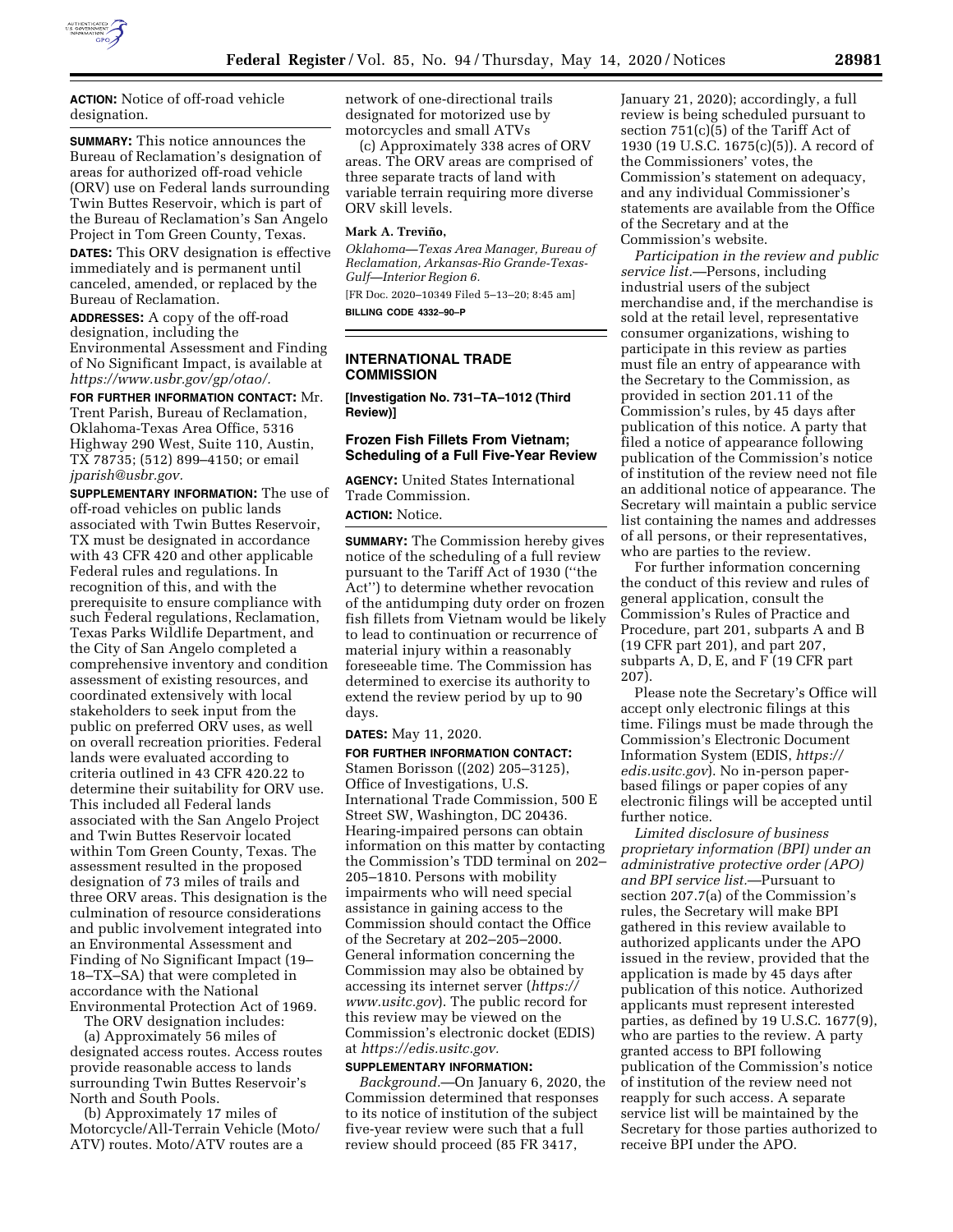

**ACTION:** Notice of off-road vehicle designation.

**SUMMARY:** This notice announces the Bureau of Reclamation's designation of areas for authorized off-road vehicle (ORV) use on Federal lands surrounding Twin Buttes Reservoir, which is part of the Bureau of Reclamation's San Angelo Project in Tom Green County, Texas.

**DATES:** This ORV designation is effective immediately and is permanent until canceled, amended, or replaced by the Bureau of Reclamation.

**ADDRESSES:** A copy of the off-road designation, including the Environmental Assessment and Finding of No Significant Impact, is available at *[https://www.usbr.gov/gp/otao/.](https://www.usbr.gov/gp/otao/)* 

**FOR FURTHER INFORMATION CONTACT:** Mr. Trent Parish, Bureau of Reclamation, Oklahoma-Texas Area Office, 5316 Highway 290 West, Suite 110, Austin, TX 78735; (512) 899–4150; or email *[jparish@usbr.gov.](mailto:jparish@usbr.gov)* 

**SUPPLEMENTARY INFORMATION:** The use of off-road vehicles on public lands associated with Twin Buttes Reservoir, TX must be designated in accordance with 43 CFR 420 and other applicable Federal rules and regulations. In recognition of this, and with the prerequisite to ensure compliance with such Federal regulations, Reclamation, Texas Parks Wildlife Department, and the City of San Angelo completed a comprehensive inventory and condition assessment of existing resources, and coordinated extensively with local stakeholders to seek input from the public on preferred ORV uses, as well on overall recreation priorities. Federal lands were evaluated according to criteria outlined in 43 CFR 420.22 to determine their suitability for ORV use. This included all Federal lands associated with the San Angelo Project and Twin Buttes Reservoir located within Tom Green County, Texas. The assessment resulted in the proposed designation of 73 miles of trails and three ORV areas. This designation is the culmination of resource considerations and public involvement integrated into an Environmental Assessment and Finding of No Significant Impact (19– 18–TX–SA) that were completed in accordance with the National Environmental Protection Act of 1969.

The ORV designation includes: (a) Approximately 56 miles of designated access routes. Access routes provide reasonable access to lands surrounding Twin Buttes Reservoir's North and South Pools.

(b) Approximately 17 miles of Motorcycle/All-Terrain Vehicle (Moto/ ATV) routes. Moto/ATV routes are a

network of one-directional trails designated for motorized use by motorcycles and small ATVs

(c) Approximately 338 acres of ORV areas. The ORV areas are comprised of three separate tracts of land with variable terrain requiring more diverse ORV skill levels.

#### **Mark A. Trevin˜ o,**

*Oklahoma—Texas Area Manager, Bureau of Reclamation, Arkansas-Rio Grande-Texas-Gulf—Interior Region 6.* 

[FR Doc. 2020–10349 Filed 5–13–20; 8:45 am] **BILLING CODE 4332–90–P** 

#### **INTERNATIONAL TRADE COMMISSION**

**[Investigation No. 731–TA–1012 (Third Review)]** 

### **Frozen Fish Fillets From Vietnam; Scheduling of a Full Five-Year Review**

**AGENCY:** United States International Trade Commission.

# **ACTION:** Notice.

**SUMMARY:** The Commission hereby gives notice of the scheduling of a full review pursuant to the Tariff Act of 1930 (''the Act'') to determine whether revocation of the antidumping duty order on frozen fish fillets from Vietnam would be likely to lead to continuation or recurrence of material injury within a reasonably foreseeable time. The Commission has determined to exercise its authority to extend the review period by up to 90 days.

## **DATES:** May 11, 2020.

**FOR FURTHER INFORMATION CONTACT:** 

Stamen Borisson ((202) 205–3125), Office of Investigations, U.S. International Trade Commission, 500 E Street SW, Washington, DC 20436. Hearing-impaired persons can obtain information on this matter by contacting the Commission's TDD terminal on 202– 205–1810. Persons with mobility impairments who will need special assistance in gaining access to the Commission should contact the Office of the Secretary at 202–205–2000. General information concerning the Commission may also be obtained by accessing its internet server (*[https://](https://www.usitc.gov) [www.usitc.gov](https://www.usitc.gov)*). The public record for this review may be viewed on the Commission's electronic docket (EDIS) at *[https://edis.usitc.gov.](https://edis.usitc.gov)* 

## **SUPPLEMENTARY INFORMATION:**

*Background.*—On January 6, 2020, the Commission determined that responses to its notice of institution of the subject five-year review were such that a full review should proceed (85 FR 3417,

January 21, 2020); accordingly, a full review is being scheduled pursuant to section 751(c)(5) of the Tariff Act of 1930 (19 U.S.C. 1675(c)(5)). A record of the Commissioners' votes, the Commission's statement on adequacy, and any individual Commissioner's statements are available from the Office of the Secretary and at the Commission's website.

*Participation in the review and public service list.*—Persons, including industrial users of the subject merchandise and, if the merchandise is sold at the retail level, representative consumer organizations, wishing to participate in this review as parties must file an entry of appearance with the Secretary to the Commission, as provided in section 201.11 of the Commission's rules, by 45 days after publication of this notice. A party that filed a notice of appearance following publication of the Commission's notice of institution of the review need not file an additional notice of appearance. The Secretary will maintain a public service list containing the names and addresses of all persons, or their representatives, who are parties to the review.

For further information concerning the conduct of this review and rules of general application, consult the Commission's Rules of Practice and Procedure, part 201, subparts A and B (19 CFR part 201), and part 207, subparts A, D, E, and F (19 CFR part 207).

Please note the Secretary's Office will accept only electronic filings at this time. Filings must be made through the Commission's Electronic Document Information System (EDIS, *[https://](https://edis.usitc.gov) [edis.usitc.gov](https://edis.usitc.gov)*). No in-person paperbased filings or paper copies of any electronic filings will be accepted until further notice.

*Limited disclosure of business proprietary information (BPI) under an administrative protective order (APO) and BPI service list.*—Pursuant to section 207.7(a) of the Commission's rules, the Secretary will make BPI gathered in this review available to authorized applicants under the APO issued in the review, provided that the application is made by 45 days after publication of this notice. Authorized applicants must represent interested parties, as defined by 19 U.S.C. 1677(9), who are parties to the review. A party granted access to BPI following publication of the Commission's notice of institution of the review need not reapply for such access. A separate service list will be maintained by the Secretary for those parties authorized to receive BPI under the APO.